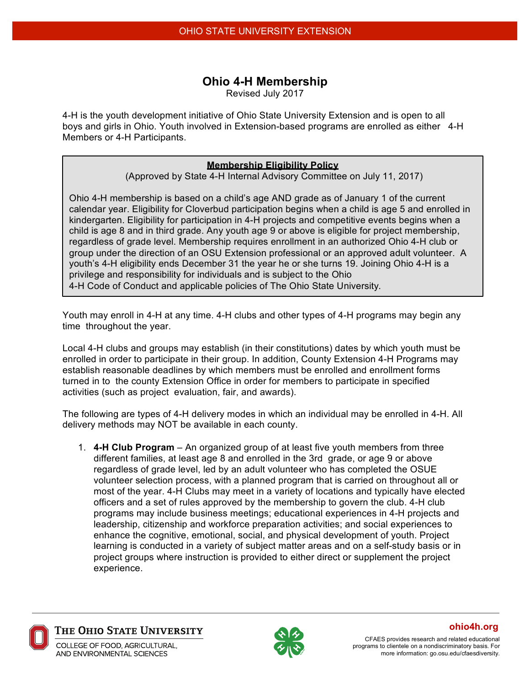## **Ohio 4-H Membership**

Revised July 2017

4-H is the youth development initiative of Ohio State University Extension and is open to all boys and girls in Ohio. Youth involved in Extension-based programs are enrolled as either 4-H Members or 4-H Participants.

## **Membership Eligibility Policy**

(Approved by State 4-H Internal Advisory Committee on July 11, 2017)

Ohio 4-H membership is based on a child's age AND grade as of January 1 of the current calendar year. Eligibility for Cloverbud participation begins when a child is age 5 and enrolled in kindergarten. Eligibility for participation in 4-H projects and competitive events begins when a child is age 8 and in third grade. Any youth age 9 or above is eligible for project membership, regardless of grade level. Membership requires enrollment in an authorized Ohio 4-H club or group under the direction of an OSU Extension professional or an approved adult volunteer. A youth's 4-H eligibility ends December 31 the year he or she turns 19. Joining Ohio 4-H is a privilege and responsibility for individuals and is subject to the Ohio 4-H Code of Conduct and applicable policies of The Ohio State University.

Youth may enroll in 4-H at any time. 4-H clubs and other types of 4-H programs may begin any time throughout the year.

Local 4-H clubs and groups may establish (in their constitutions) dates by which youth must be enrolled in order to participate in their group. In addition, County Extension 4-H Programs may establish reasonable deadlines by which members must be enrolled and enrollment forms turned in to the county Extension Office in order for members to participate in specified activities (such as project evaluation, fair, and awards).

The following are types of 4-H delivery modes in which an individual may be enrolled in 4-H. All delivery methods may NOT be available in each county.

1. **4-H Club Program** – An organized group of at least five youth members from three different families, at least age 8 and enrolled in the 3rd grade, or age 9 or above regardless of grade level, led by an adult volunteer who has completed the OSUE volunteer selection process, with a planned program that is carried on throughout all or most of the year. 4-H Clubs may meet in a variety of locations and typically have elected officers and a set of rules approved by the membership to govern the club. 4-H club programs may include business meetings; educational experiences in 4-H projects and leadership, citizenship and workforce preparation activities; and social experiences to enhance the cognitive, emotional, social, and physical development of youth. Project learning is conducted in a variety of subject matter areas and on a self-study basis or in project groups where instruction is provided to either direct or supplement the project experience.



THE OHIO STATE UNIVERSITY

COLLEGE OF FOOD. AGRICULTURAL. AND ENVIRONMENTAL SCIENCES